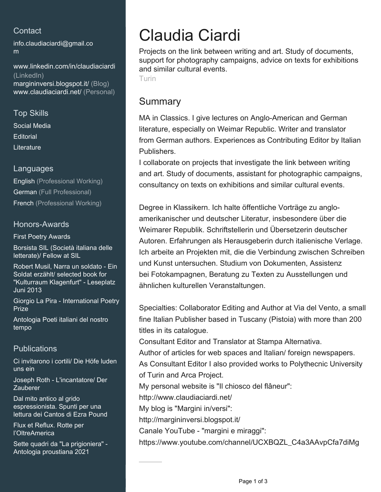## **Contact**

[info.claudiaciardi@gmail.co](mailto:info.claudiaciardi@gmail.com) [m](mailto:info.claudiaciardi@gmail.com)

[www.linkedin.com/in/claudiaciardi](https://www.linkedin.com/in/claudiaciardi?jobid=1234&lipi=urn%3Ali%3Apage%3Ad_jobs_easyapply_pdfgenresume%3BCurVsWpWSPKgK0%2Fu5%2BKeaQ%3D%3D&licu=urn%3Ali%3Acontrol%3Ad_jobs_easyapply_pdfgenresume-v02_profile) [\(LinkedIn\)](https://www.linkedin.com/in/claudiaciardi?jobid=1234&lipi=urn%3Ali%3Apage%3Ad_jobs_easyapply_pdfgenresume%3BCurVsWpWSPKgK0%2Fu5%2BKeaQ%3D%3D&licu=urn%3Ali%3Acontrol%3Ad_jobs_easyapply_pdfgenresume-v02_profile) [margininversi.blogspot.it/ \(Blog\)](http://margininversi.blogspot.it/) [www.claudiaciardi.net/ \(Personal\)](https://www.claudiaciardi.net/)

## Top Skills Social Media **Editorial Literature**

### Languages

English (Professional Working) German (Full Professional) French (Professional Working)

### Honors-Awards

First Poetry Awards

Borsista SIL (Società italiana delle letterate)/ Fellow at SIL

Robert Musil, Narra un soldato - Ein Soldat erzählt/ selected book for "Kulturraum Klagenfurt" - Leseplatz Juni 2013

Giorgio La Pira - International Poetry Prize

Antologia Poeti italiani del nostro tempo

## **Publications**

Ci invitarono i cortili/ Die Höfe luden uns ein

Joseph Roth - L'incantatore/ Der **Zauberer** 

Dal mito antico al grido espressionista. Spunti per una lettura dei Cantos di Ezra Pound

Flux et Reflux. Rotte per l'OltreAmerica

Sette quadri da "La prigioniera" - Antologia proustiana 2021

# Claudia Ciardi

Projects on the link between writing and art. Study of documents, support for photography campaigns, advice on texts for exhibitions and similar cultural events.

Turin

# Summary

MA in Classics. I give lectures on Anglo-American and German literature, especially on Weimar Republic. Writer and translator from German authors. Experiences as Contributing Editor by Italian Publishers.

I collaborate on projects that investigate the link between writing and art. Study of documents, assistant for photographic campaigns, consultancy on texts on exhibitions and similar cultural events.

Degree in Klassikern. Ich halte öffentliche Vorträge zu angloamerikanischer und deutscher Literatur, insbesondere über die Weimarer Republik. Schriftstellerin und Übersetzerin deutscher Autoren. Erfahrungen als Herausgeberin durch italienische Verlage. Ich arbeite an Projekten mit, die die Verbindung zwischen Schreiben und Kunst untersuchen. Studium von Dokumenten, Assistenz bei Fotokampagnen, Beratung zu Texten zu Ausstellungen und ähnlichen kulturellen Veranstaltungen.

Specialties: Collaborator Editing and Author at Via del Vento, a small fine Italian Publisher based in Tuscany (Pistoia) with more than 200 titles in its catalogue.

Consultant Editor and Translator at Stampa Alternativa.

Author of articles for web spaces and Italian/ foreign newspapers. As Consultant Editor I also provided works to Polythecnic University of Turin and Arca Project.

My personal website is "Il chiosco del flâneur":

http://www.claudiaciardi.net/

My blog is "Margini in/versi":

http://margininversi.blogspot.it/

Canale YouTube - "margini e miraggi":

https://www.youtube.com/channel/UCXBQZL\_C4a3AAvpCfa7diMg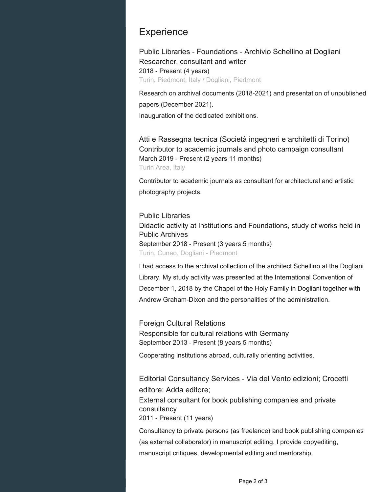## **Experience**

Public Libraries - Foundations - Archivio Schellino at Dogliani Researcher, consultant and writer 2018 - Present (4 years) Turin, Piedmont, Italy / Dogliani, Piedmont

Research on archival documents (2018-2021) and presentation of unpublished papers (December 2021). Inauguration of the dedicated exhibitions.

Atti e Rassegna tecnica (Società ingegneri e architetti di Torino) Contributor to academic journals and photo campaign consultant March 2019 - Present (2 years 11 months) Turin Area, Italy

Contributor to academic journals as consultant for architectural and artistic photography projects.

#### Public Libraries

Didactic activity at Institutions and Foundations, study of works held in Public Archives September 2018 - Present (3 years 5 months) Turin, Cuneo, Dogliani - Piedmont

I had access to the archival collection of the architect Schellino at the Dogliani Library. My study activity was presented at the International Convention of December 1, 2018 by the Chapel of the Holy Family in Dogliani together with Andrew Graham-Dixon and the personalities of the administration.

Foreign Cultural Relations Responsible for cultural relations with Germany September 2013 - Present (8 years 5 months)

Cooperating institutions abroad, culturally orienting activities.

Editorial Consultancy Services - Via del Vento edizioni; Crocetti editore; Adda editore; External consultant for book publishing companies and private consultancy

2011 - Present (11 years)

Consultancy to private persons (as freelance) and book publishing companies (as external collaborator) in manuscript editing. I provide copyediting, manuscript critiques, developmental editing and mentorship.